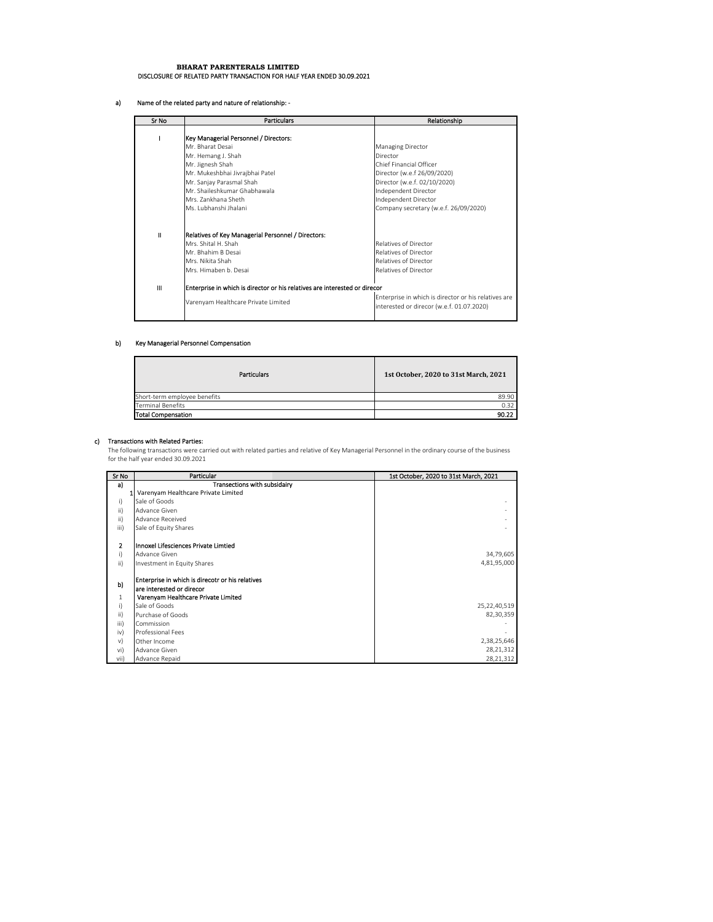# **BHARAT PARENTERALS LIMITED** DISCLOSURE OF RELATED PARTY TRANSACTION FOR HALF YEAR ENDED 30.09.2021

### a) Name of the related party and nature of relationship: ‐

| Sr No         | <b>Particulars</b>                                                         | Relationship                                         |
|---------------|----------------------------------------------------------------------------|------------------------------------------------------|
|               |                                                                            |                                                      |
|               | Key Managerial Personnel / Directors:                                      |                                                      |
|               | Mr. Bharat Desai                                                           | <b>Managing Director</b>                             |
|               | Mr. Hemang J. Shah                                                         | Director                                             |
|               | Mr. Jignesh Shah                                                           | Chief Financial Officer                              |
|               | Mr. Mukeshbhai Jivrajbhai Patel                                            | Director (w.e.f 26/09/2020)                          |
|               | Mr. Sanjay Parasmal Shah                                                   | Director (w.e.f. 02/10/2020)                         |
|               | Mr. Shaileshkumar Ghabhawala                                               | Independent Director                                 |
|               | Mrs. Zankhana Sheth                                                        | Independent Director                                 |
|               | Ms. Lubhanshi Jhalani                                                      | Company secretary (w.e.f. 26/09/2020)                |
|               |                                                                            |                                                      |
| $\mathbf{II}$ | Relatives of Key Managerial Personnel / Directors:                         |                                                      |
|               | Mrs. Shital H. Shah                                                        | <b>Relatives of Director</b>                         |
|               | Mr. Bhahim B Desai                                                         | <b>Relatives of Director</b>                         |
|               | Mrs. Nikita Shah                                                           | <b>Relatives of Director</b>                         |
|               | Mrs. Himaben b. Desai                                                      | <b>Relatives of Director</b>                         |
| Ш             | Enterprise in which is director or his relatives are interested or direcor |                                                      |
|               | Varenyam Healthcare Private Limited                                        | Enterprise in which is director or his relatives are |
|               |                                                                            | interested or direcor (w.e.f. 01.07.2020)            |

#### b) Key Managerial Personnel Compensation

| <b>Particulars</b>           | 1st October, 2020 to 31st March, 2021 |
|------------------------------|---------------------------------------|
| Short-term employee benefits | 89.90                                 |
| <b>Terminal Benefits</b>     | 0.32                                  |
| <b>Total Compensation</b>    | 90.22                                 |

 $\mathbf{r}$ 

**c) Transactions with Related Parties:**<br>The following transactions were carried out with related parties and relative of Key Managerial Personnel in the ordinary course of the business for the half year ended 30.09.2021

| Sr No          | Particular                                       | 1st October, 2020 to 31st March, 2021 |
|----------------|--------------------------------------------------|---------------------------------------|
| a)             | Transections with subsidairy                     |                                       |
|                | Varenyam Healthcare Private Limited              |                                       |
| i)             | Sale of Goods                                    |                                       |
| ii)            | Advance Given                                    |                                       |
| ii)            | Advance Received                                 |                                       |
| iii)           | Sale of Equity Shares                            |                                       |
| $\overline{2}$ | Innoxel Lifesciences Private Limtied             |                                       |
| i)             | Advance Given                                    | 34,79,605                             |
| ii)            | Investment in Equity Shares                      | 4,81,95,000                           |
| b)             | Enterprise in which is direcotr or his relatives |                                       |
|                | lare interested or direcor                       |                                       |
| 1              | Varenyam Healthcare Private Limited              |                                       |
| i)             | Sale of Goods                                    | 25,22,40,519                          |
| $\mathsf{ii}$  | Purchase of Goods                                | 82,30,359                             |
| iii)           | Commission                                       |                                       |
| iv)            | Professional Fees                                |                                       |
| V)             | Other Income                                     | 2,38,25,646                           |
| vi)            | Advance Given                                    | 28,21,312                             |
| vii)           | Advance Repaid                                   | 28,21,312                             |